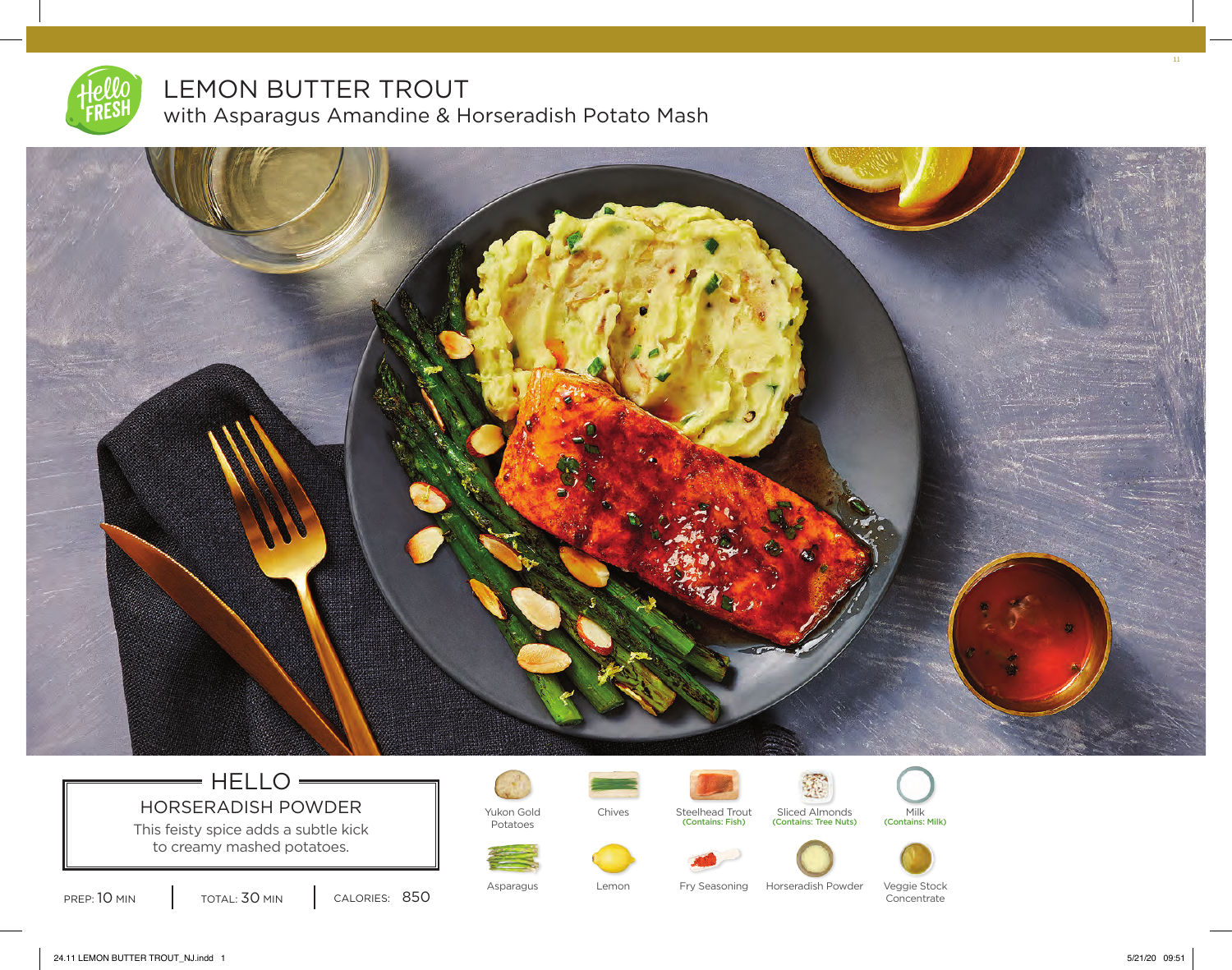

# LEMON BUTTER TROUT

with Asparagus Amandine & Horseradish Potato Mash



## $=$  HELLO $=$ HORSERADISH POWDER Vukon Gold

This feisty spice adds a subtle kick to creamy mashed potatoes.

PREP: 10 MIN | TOTAL: 30 MIN | CALORIES: 850

Potatoes



Chives Steelhead Trout Sliced Almonds Milk<br>
Contains: Fish) (Contains: Tree Nuts) (Contains: Milk)





Asparagus **Lemon** Fry Seasoning Horseradish Powder Veggie Stock Concentrate

24.11 LEMON BUTTER TROUT\_NJ.indd 1 5/21/20 09:51

11